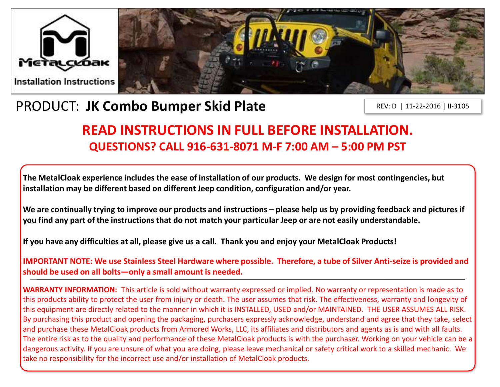



# PRODUCT: **JK Combo Bumper Skid Plate**

REV: D | 11-22-2016 | II-3105

## **READ INSTRUCTIONS IN FULL BEFORE INSTALLATION. QUESTIONS? CALL 916-631-8071 M-F 7:00 AM – 5:00 PM PST**

**The MetalCloak experience includes the ease of installation of our products. We design for most contingencies, but installation may be different based on different Jeep condition, configuration and/or year.**

We are continually trying to improve our products and instructions – please help us by providing feedback and pictures if **you find any part of the instructions that do not match your particular Jeep or are not easily understandable.** 

**If you have any difficulties at all, please give us a call. Thank you and enjoy your MetalCloak Products!** 

**IMPORTANT NOTE: We use Stainless Steel Hardware where possible. Therefore, a tube of Silver Anti-seize is provided and should be used on all bolts—only a small amount is needed.**

**WARRANTY INFORMATION:** This article is sold without warranty expressed or implied. No warranty or representation is made as to this products ability to protect the user from injury or death. The user assumes that risk. The effectiveness, warranty and longevity of this equipment are directly related to the manner in which it is INSTALLED, USED and/or MAINTAINED. THE USER ASSUMES ALL RISK. By purchasing this product and opening the packaging, purchasers expressly acknowledge, understand and agree that they take, select and purchase these MetalCloak products from Armored Works, LLC, its affiliates and distributors and agents as is and with all faults. The entire risk as to the quality and performance of these MetalCloak products is with the purchaser. Working on your vehicle can be a dangerous activity. If you are unsure of what you are doing, please leave mechanical or safety critical work to a skilled mechanic. We take no responsibility for the incorrect use and/or installation of MetalCloak products.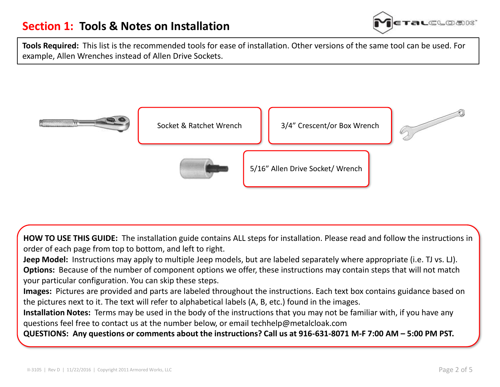

**Tools Required:** This list is the recommended tools for ease of installation. Other versions of the same tool can be used. For example, Allen Wrenches instead of Allen Drive Sockets.



**HOW TO USE THIS GUIDE:** The installation guide contains ALL steps for installation. Please read and follow the instructions in order of each page from top to bottom, and left to right.

**Jeep Model:** Instructions may apply to multiple Jeep models, but are labeled separately where appropriate (i.e. TJ vs. LJ). **Options:** Because of the number of component options we offer, these instructions may contain steps that will not match your particular configuration. You can skip these steps.

**Images:** Pictures are provided and parts are labeled throughout the instructions. Each text box contains guidance based on the pictures next to it. The text will refer to alphabetical labels (A, B, etc.) found in the images.

**Installation Notes:** Terms may be used in the body of the instructions that you may not be familiar with, if you have any questions feel free to contact us at the number below, or email techhelp@metalcloak.com

**QUESTIONS: Any questions or comments about the instructions? Call us at 916-631-8071 M-F 7:00 AM – 5:00 PM PST.**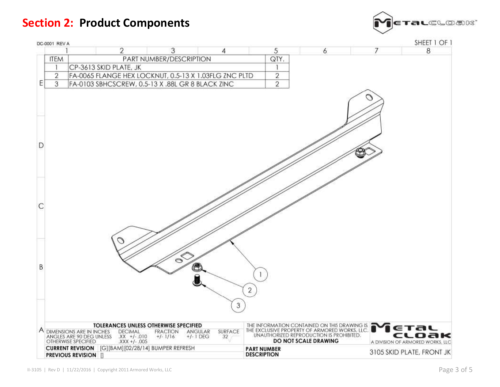## **Section 2: Product Components**



|    | DC-0001 REV A |                                                                                   |                                                                                                     |                                                        |               |                                          |                                                                                                                                                                       |   | SHEET 1 OF 1                                       |
|----|---------------|-----------------------------------------------------------------------------------|-----------------------------------------------------------------------------------------------------|--------------------------------------------------------|---------------|------------------------------------------|-----------------------------------------------------------------------------------------------------------------------------------------------------------------------|---|----------------------------------------------------|
|    |               |                                                                                   | 2                                                                                                   | 3                                                      | 4             | 5                                        | 6                                                                                                                                                                     | 7 | 8                                                  |
|    | <b>ITEM</b>   | PART NUMBER/DESCRIPTION                                                           |                                                                                                     |                                                        |               |                                          | QTY.                                                                                                                                                                  |   |                                                    |
|    |               | CP-3613 SKID PLATE, JK                                                            |                                                                                                     |                                                        |               |                                          | 1                                                                                                                                                                     |   |                                                    |
|    | 2             | FA-0065 FLANGE HEX LOCKNUT, 0.5-13 X 1.03FLG ZNC PLTD                             |                                                                                                     |                                                        |               |                                          | $\overline{\mathbf{c}}$                                                                                                                                               |   |                                                    |
| E  | 3             | FA-0103 SBHCSCREW, 0.5-13 X .88L GR 8 BLACK ZINC                                  |                                                                                                     |                                                        |               |                                          | $\overline{2}$                                                                                                                                                        |   |                                                    |
| D  |               |                                                                                   |                                                                                                     |                                                        |               |                                          |                                                                                                                                                                       |   |                                                    |
| C  |               |                                                                                   |                                                                                                     |                                                        |               |                                          |                                                                                                                                                                       |   |                                                    |
| B. |               |                                                                                   |                                                                                                     | $\infty$                                               |               | $\overline{2}$<br>$\sqrt{3}$             |                                                                                                                                                                       |   |                                                    |
|    |               | A DIMENSIONS ARE IN INCHES<br>ANGLES ARE 90 DEG UNLESS<br>OTHERWISE SPECIFIED     | <b>TOLERANCES UNLESS OTHERWISE SPECIFIED</b><br><b>DECIMAL</b><br>$XX +/- .010$<br>$XXX + 1 - .005$ | <b>FRACTION</b><br>ANGULAR<br>$+/- 1/16$<br>$+/-1$ DEG | SURFACE<br>32 |                                          | THE INFORMATION CONTAINED ON THIS DRAWING IS THE EXCLUSIVE PROPERTY OF ARMORED WORKS, LLC.<br>UNAUTHORIZED REPRODUCTION IS PROHIBITED.<br><b>DO NOT SCALE DRAWING</b> |   | ETAL<br>cloak<br>A DIVISION OF ARMORED WORKS, LLC: |
|    |               | CURRENT REVISION [G][BAM][02/28/14] BUMPER REFRESH<br><b>PREVIOUS REVISION II</b> |                                                                                                     |                                                        |               | <b>PART NUMBER</b><br><b>DESCRIPTION</b> |                                                                                                                                                                       |   | 3105 SKID PLATE, FRONT JK                          |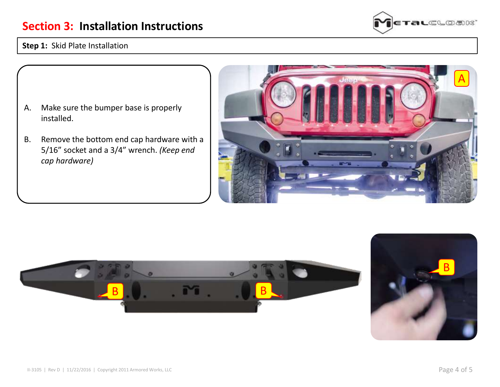#### **Section 3: Installation Instructions**



#### **Step 1:** Skid Plate Installation

- A. Make sure the bumper base is properly installed.
- B. Remove the bottom end cap hardware with a 5/16" socket and a 3/4" wrench. *(Keep end cap hardware)*